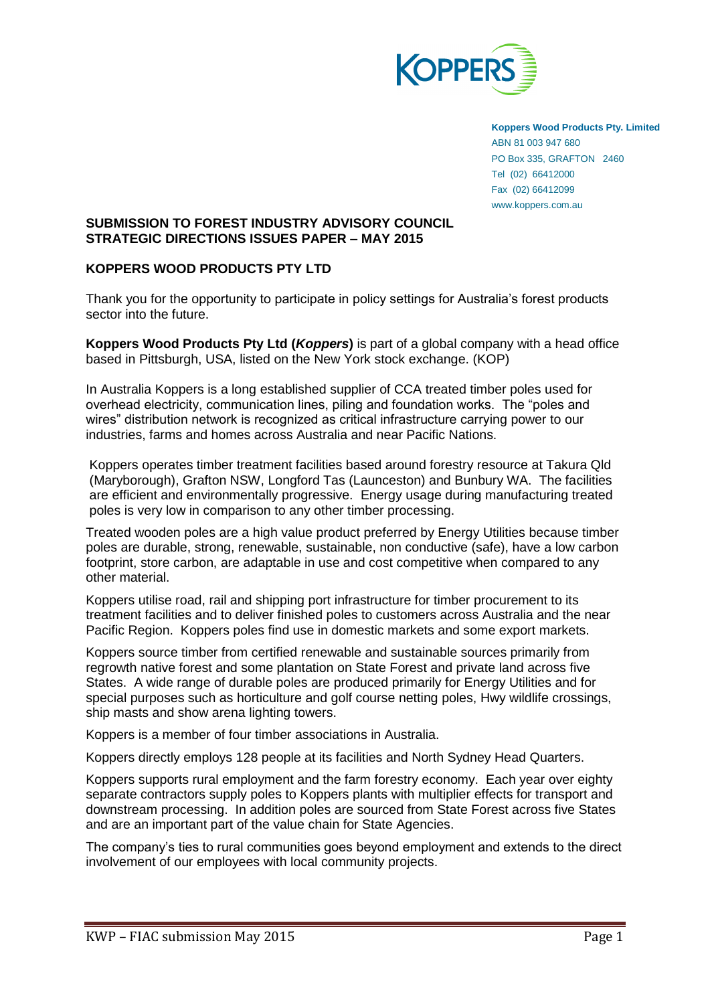

**Koppers Wood Products Pty. Limited** ABN 81 003 947 680 PO Box 335, GRAFTON 2460 Tel (02) 66412000 Fax (02) 66412099 www.koppers.com.au

# **SUBMISSION TO FOREST INDUSTRY ADVISORY COUNCIL STRATEGIC DIRECTIONS ISSUES PAPER – MAY 2015**

# **KOPPERS WOOD PRODUCTS PTY LTD**

Thank you for the opportunity to participate in policy settings for Australia's forest products sector into the future.

**Koppers Wood Products Pty Ltd (***Koppers***)** is part of a global company with a head office based in Pittsburgh, USA, listed on the New York stock exchange. (KOP)

In Australia Koppers is a long established supplier of CCA treated timber poles used for overhead electricity, communication lines, piling and foundation works. The "poles and wires" distribution network is recognized as critical infrastructure carrying power to our industries, farms and homes across Australia and near Pacific Nations.

Koppers operates timber treatment facilities based around forestry resource at Takura Qld (Maryborough), Grafton NSW, Longford Tas (Launceston) and Bunbury WA. The facilities are efficient and environmentally progressive. Energy usage during manufacturing treated poles is very low in comparison to any other timber processing.

Treated wooden poles are a high value product preferred by Energy Utilities because timber poles are durable, strong, renewable, sustainable, non conductive (safe), have a low carbon footprint, store carbon, are adaptable in use and cost competitive when compared to any other material.

Koppers utilise road, rail and shipping port infrastructure for timber procurement to its treatment facilities and to deliver finished poles to customers across Australia and the near Pacific Region. Koppers poles find use in domestic markets and some export markets.

Koppers source timber from certified renewable and sustainable sources primarily from regrowth native forest and some plantation on State Forest and private land across five States. A wide range of durable poles are produced primarily for Energy Utilities and for special purposes such as horticulture and golf course netting poles, Hwy wildlife crossings, ship masts and show arena lighting towers.

Koppers is a member of four timber associations in Australia.

Koppers directly employs 128 people at its facilities and North Sydney Head Quarters.

Koppers supports rural employment and the farm forestry economy. Each year over eighty separate contractors supply poles to Koppers plants with multiplier effects for transport and downstream processing. In addition poles are sourced from State Forest across five States and are an important part of the value chain for State Agencies.

The company's ties to rural communities goes beyond employment and extends to the direct involvement of our employees with local community projects.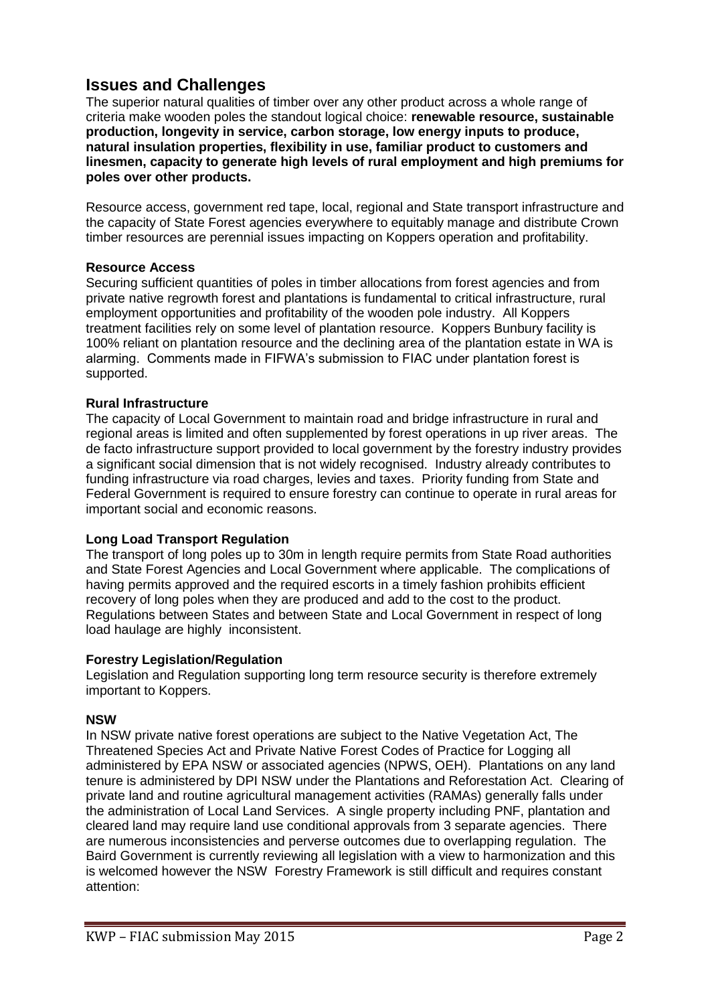# **Issues and Challenges**

The superior natural qualities of timber over any other product across a whole range of criteria make wooden poles the standout logical choice: **renewable resource, sustainable production, longevity in service, carbon storage, low energy inputs to produce, natural insulation properties, flexibility in use, familiar product to customers and linesmen, capacity to generate high levels of rural employment and high premiums for poles over other products.**

Resource access, government red tape, local, regional and State transport infrastructure and the capacity of State Forest agencies everywhere to equitably manage and distribute Crown timber resources are perennial issues impacting on Koppers operation and profitability.

# **Resource Access**

Securing sufficient quantities of poles in timber allocations from forest agencies and from private native regrowth forest and plantations is fundamental to critical infrastructure, rural employment opportunities and profitability of the wooden pole industry. All Koppers treatment facilities rely on some level of plantation resource. Koppers Bunbury facility is 100% reliant on plantation resource and the declining area of the plantation estate in WA is alarming. Comments made in FIFWA's submission to FIAC under plantation forest is supported.

# **Rural Infrastructure**

The capacity of Local Government to maintain road and bridge infrastructure in rural and regional areas is limited and often supplemented by forest operations in up river areas. The de facto infrastructure support provided to local government by the forestry industry provides a significant social dimension that is not widely recognised. Industry already contributes to funding infrastructure via road charges, levies and taxes. Priority funding from State and Federal Government is required to ensure forestry can continue to operate in rural areas for important social and economic reasons.

# **Long Load Transport Regulation**

The transport of long poles up to 30m in length require permits from State Road authorities and State Forest Agencies and Local Government where applicable. The complications of having permits approved and the required escorts in a timely fashion prohibits efficient recovery of long poles when they are produced and add to the cost to the product. Regulations between States and between State and Local Government in respect of long load haulage are highly inconsistent.

# **Forestry Legislation/Regulation**

Legislation and Regulation supporting long term resource security is therefore extremely important to Koppers.

# **NSW**

In NSW private native forest operations are subject to the Native Vegetation Act, The Threatened Species Act and Private Native Forest Codes of Practice for Logging all administered by EPA NSW or associated agencies (NPWS, OEH). Plantations on any land tenure is administered by DPI NSW under the Plantations and Reforestation Act. Clearing of private land and routine agricultural management activities (RAMAs) generally falls under the administration of Local Land Services. A single property including PNF, plantation and cleared land may require land use conditional approvals from 3 separate agencies. There are numerous inconsistencies and perverse outcomes due to overlapping regulation. The Baird Government is currently reviewing all legislation with a view to harmonization and this is welcomed however the NSW Forestry Framework is still difficult and requires constant attention: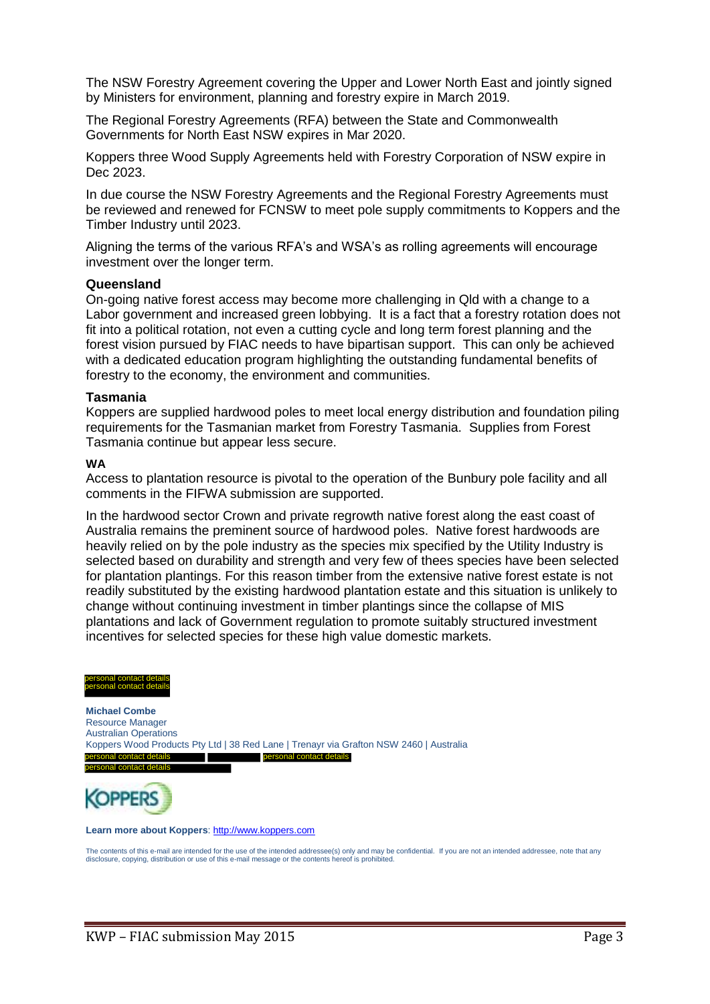The NSW Forestry Agreement covering the Upper and Lower North East and jointly signed by Ministers for environment, planning and forestry expire in March 2019.

The Regional Forestry Agreements (RFA) between the State and Commonwealth Governments for North East NSW expires in Mar 2020.

Koppers three Wood Supply Agreements held with Forestry Corporation of NSW expire in Dec 2023.

In due course the NSW Forestry Agreements and the Regional Forestry Agreements must be reviewed and renewed for FCNSW to meet pole supply commitments to Koppers and the Timber Industry until 2023.

Aligning the terms of the various RFA's and WSA's as rolling agreements will encourage investment over the longer term.

### **Queensland**

On-going native forest access may become more challenging in Qld with a change to a Labor government and increased green lobbying. It is a fact that a forestry rotation does not fit into a political rotation, not even a cutting cycle and long term forest planning and the forest vision pursued by FIAC needs to have bipartisan support. This can only be achieved with a dedicated education program highlighting the outstanding fundamental benefits of forestry to the economy, the environment and communities.

### **Tasmania**

Koppers are supplied hardwood poles to meet local energy distribution and foundation piling requirements for the Tasmanian market from Forestry Tasmania. Supplies from Forest Tasmania continue but appear less secure.

#### **WA**

Access to plantation resource is pivotal to the operation of the Bunbury pole facility and all comments in the FIFWA submission are supported.

In the hardwood sector Crown and private regrowth native forest along the east coast of Australia remains the preminent source of hardwood poles. Native forest hardwoods are heavily relied on by the pole industry as the species mix specified by the Utility Industry is selected based on durability and strength and very few of thees species have been selected for plantation plantings. For this reason timber from the extensive native forest estate is not readily substituted by the existing hardwood plantation estate and this situation is unlikely to change without continuing investment in timber plantings since the collapse of MIS plantations and lack of Government regulation to promote suitably structured investment incentives for selected species for these high value domestic markets.





**Learn more about Koppers**[: http://www.koppers.com](http://www.koppers.com/)

The contents of this e-mail are intended for the use of the intended addressee(s) only and may be confidential. If you are not an intended addressee, note that any disclosure, copying, distribution or use of this e-mail message or the contents hereof is prohibited.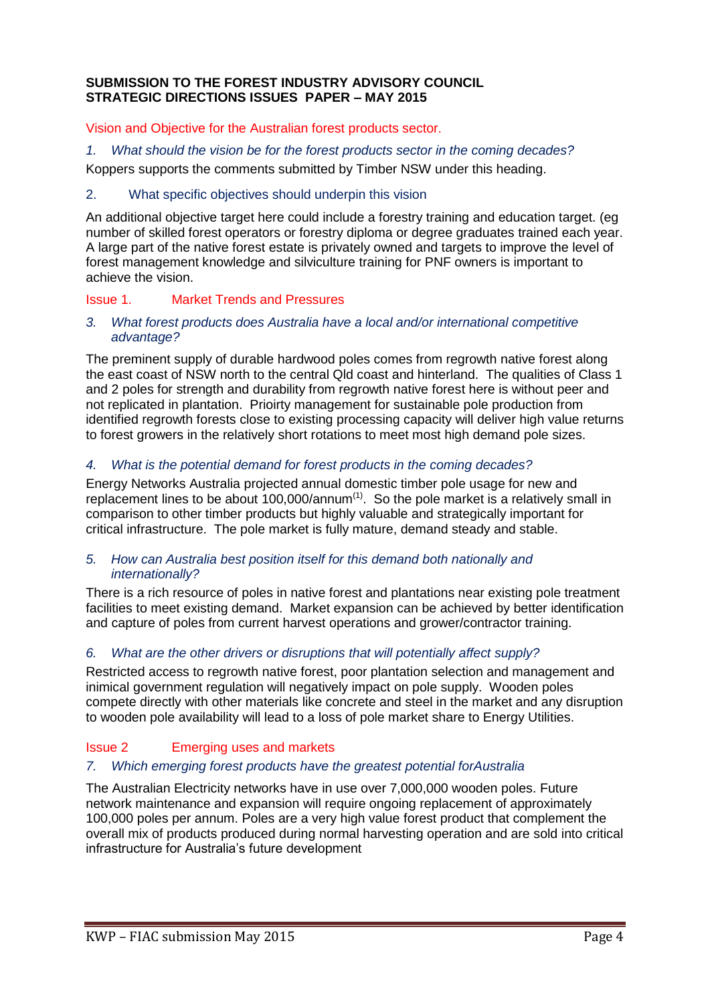# **SUBMISSION TO THE FOREST INDUSTRY ADVISORY COUNCIL STRATEGIC DIRECTIONS ISSUES PAPER – MAY 2015**

Vision and Objective for the Australian forest products sector.

*1. What should the vision be for the forest products sector in the coming decades?*

Koppers supports the comments submitted by Timber NSW under this heading.

# 2. What specific objectives should underpin this vision

An additional objective target here could include a forestry training and education target. (eg number of skilled forest operators or forestry diploma or degree graduates trained each year. A large part of the native forest estate is privately owned and targets to improve the level of forest management knowledge and silviculture training for PNF owners is important to achieve the vision.

# Issue 1. Market Trends and Pressures

## *3. What forest products does Australia have a local and/or international competitive advantage?*

The preminent supply of durable hardwood poles comes from regrowth native forest along the east coast of NSW north to the central Qld coast and hinterland. The qualities of Class 1 and 2 poles for strength and durability from regrowth native forest here is without peer and not replicated in plantation. Prioirty management for sustainable pole production from identified regrowth forests close to existing processing capacity will deliver high value returns to forest growers in the relatively short rotations to meet most high demand pole sizes.

# *4. What is the potential demand for forest products in the coming decades?*

Energy Networks Australia projected annual domestic timber pole usage for new and replacement lines to be about 100,000/annum $(1)$ . So the pole market is a relatively small in comparison to other timber products but highly valuable and strategically important for critical infrastructure. The pole market is fully mature, demand steady and stable.

### *5. How can Australia best position itself for this demand both nationally and internationally?*

There is a rich resource of poles in native forest and plantations near existing pole treatment facilities to meet existing demand. Market expansion can be achieved by better identification and capture of poles from current harvest operations and grower/contractor training.

# *6. What are the other drivers or disruptions that will potentially affect supply?*

Restricted access to regrowth native forest, poor plantation selection and management and inimical government regulation will negatively impact on pole supply. Wooden poles compete directly with other materials like concrete and steel in the market and any disruption to wooden pole availability will lead to a loss of pole market share to Energy Utilities.

# Issue 2 Emerging uses and markets

# *7. Which emerging forest products have the greatest potential forAustralia*

The Australian Electricity networks have in use over 7,000,000 wooden poles. Future network maintenance and expansion will require ongoing replacement of approximately 100,000 poles per annum. Poles are a very high value forest product that complement the overall mix of products produced during normal harvesting operation and are sold into critical infrastructure for Australia's future development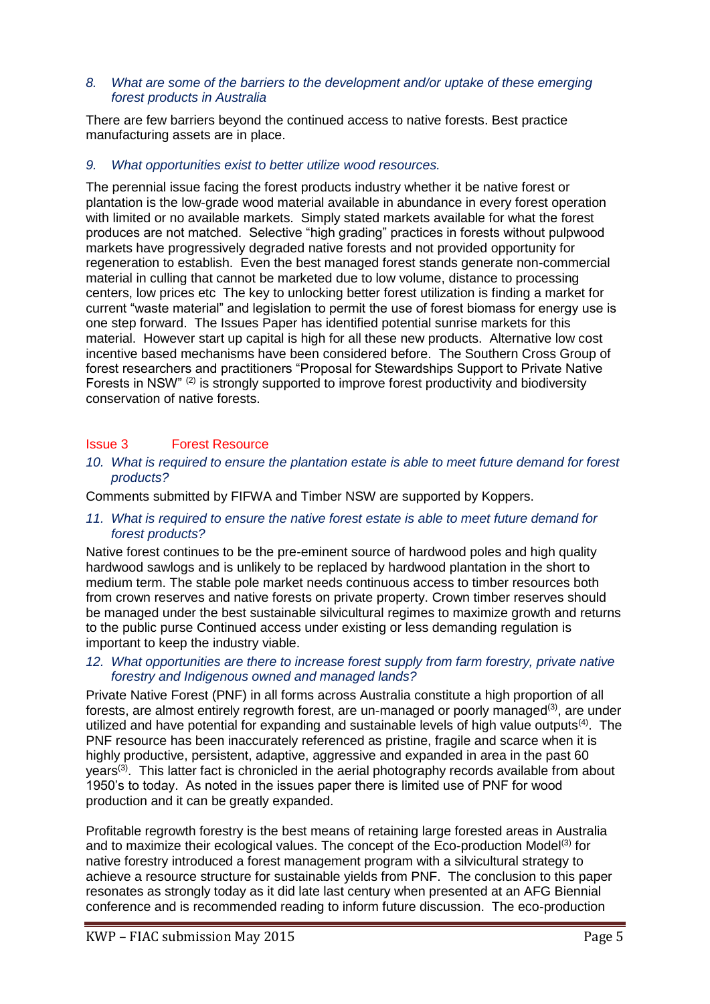### *8. What are some of the barriers to the development and/or uptake of these emerging forest products in Australia*

There are few barriers beyond the continued access to native forests. Best practice manufacturing assets are in place.

## *9. What opportunities exist to better utilize wood resources.*

The perennial issue facing the forest products industry whether it be native forest or plantation is the low-grade wood material available in abundance in every forest operation with limited or no available markets. Simply stated markets available for what the forest produces are not matched. Selective "high grading" practices in forests without pulpwood markets have progressively degraded native forests and not provided opportunity for regeneration to establish. Even the best managed forest stands generate non-commercial material in culling that cannot be marketed due to low volume, distance to processing centers, low prices etc The key to unlocking better forest utilization is finding a market for current "waste material" and legislation to permit the use of forest biomass for energy use is one step forward. The Issues Paper has identified potential sunrise markets for this material. However start up capital is high for all these new products. Alternative low cost incentive based mechanisms have been considered before. The Southern Cross Group of forest researchers and practitioners "Proposal for Stewardships Support to Private Native Forests in NSW" (2) is strongly supported to improve forest productivity and biodiversity conservation of native forests.

### Issue 3 Forest Resource

*10. What is required to ensure the plantation estate is able to meet future demand for forest products?*

Comments submitted by FIFWA and Timber NSW are supported by Koppers.

*11. What is required to ensure the native forest estate is able to meet future demand for forest products?*

Native forest continues to be the pre-eminent source of hardwood poles and high quality hardwood sawlogs and is unlikely to be replaced by hardwood plantation in the short to medium term. The stable pole market needs continuous access to timber resources both from crown reserves and native forests on private property. Crown timber reserves should be managed under the best sustainable silvicultural regimes to maximize growth and returns to the public purse Continued access under existing or less demanding regulation is important to keep the industry viable.

*12. What opportunities are there to increase forest supply from farm forestry, private native forestry and Indigenous owned and managed lands?*

Private Native Forest (PNF) in all forms across Australia constitute a high proportion of all forests, are almost entirely regrowth forest, are un-managed or poorly managed<sup>(3)</sup>, are under utilized and have potential for expanding and sustainable levels of high value outputs<sup>(4)</sup>. The PNF resource has been inaccurately referenced as pristine, fragile and scarce when it is highly productive, persistent, adaptive, aggressive and expanded in area in the past 60 years<sup>(3)</sup>. This latter fact is chronicled in the aerial photography records available from about 1950's to today. As noted in the issues paper there is limited use of PNF for wood production and it can be greatly expanded.

Profitable regrowth forestry is the best means of retaining large forested areas in Australia and to maximize their ecological values. The concept of the Eco-production Model<sup>(3)</sup> for native forestry introduced a forest management program with a silvicultural strategy to achieve a resource structure for sustainable yields from PNF. The conclusion to this paper resonates as strongly today as it did late last century when presented at an AFG Biennial conference and is recommended reading to inform future discussion. The eco-production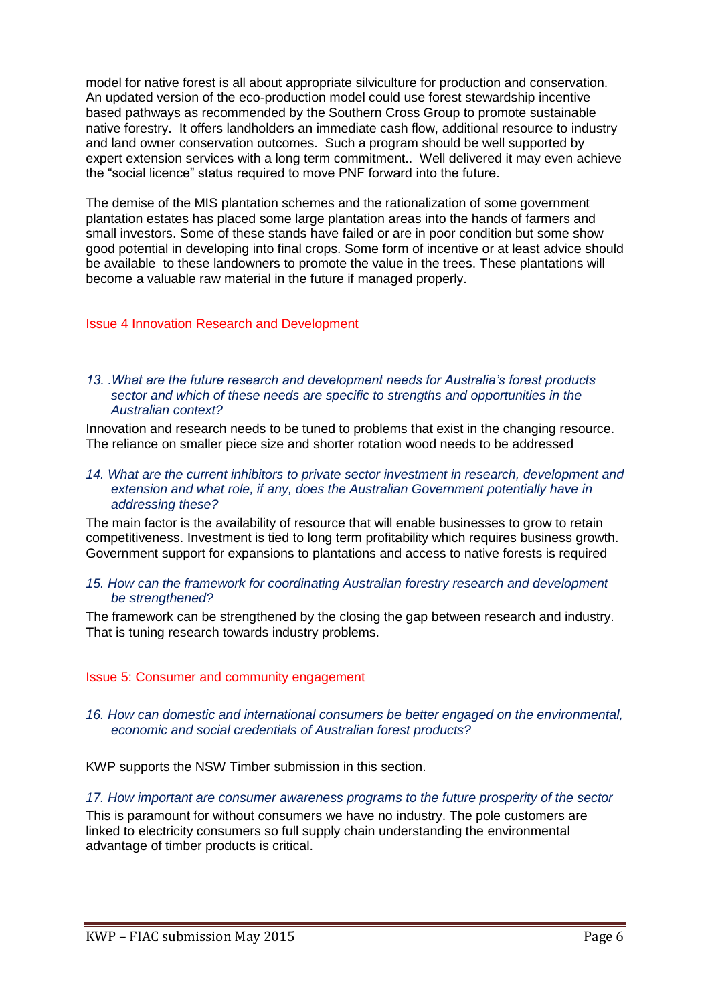model for native forest is all about appropriate silviculture for production and conservation. An updated version of the eco-production model could use forest stewardship incentive based pathways as recommended by the Southern Cross Group to promote sustainable native forestry. It offers landholders an immediate cash flow, additional resource to industry and land owner conservation outcomes. Such a program should be well supported by expert extension services with a long term commitment.. Well delivered it may even achieve the "social licence" status required to move PNF forward into the future.

The demise of the MIS plantation schemes and the rationalization of some government plantation estates has placed some large plantation areas into the hands of farmers and small investors. Some of these stands have failed or are in poor condition but some show good potential in developing into final crops. Some form of incentive or at least advice should be available to these landowners to promote the value in the trees. These plantations will become a valuable raw material in the future if managed properly.

# Issue 4 Innovation Research and Development

### *13. .What are the future research and development needs for Australia's forest products sector and which of these needs are specific to strengths and opportunities in the Australian context?*

Innovation and research needs to be tuned to problems that exist in the changing resource. The reliance on smaller piece size and shorter rotation wood needs to be addressed

#### 14. What are the current inhibitors to private sector investment in research, development and *extension and what role, if any, does the Australian Government potentially have in addressing these?*

The main factor is the availability of resource that will enable businesses to grow to retain competitiveness. Investment is tied to long term profitability which requires business growth. Government support for expansions to plantations and access to native forests is required

### *15. How can the framework for coordinating Australian forestry research and development be strengthened?*

The framework can be strengthened by the closing the gap between research and industry. That is tuning research towards industry problems.

### Issue 5: Consumer and community engagement

### *16. How can domestic and international consumers be better engaged on the environmental, economic and social credentials of Australian forest products?*

KWP supports the NSW Timber submission in this section.

### *17. How important are consumer awareness programs to the future prosperity of the sector*

This is paramount for without consumers we have no industry. The pole customers are linked to electricity consumers so full supply chain understanding the environmental advantage of timber products is critical.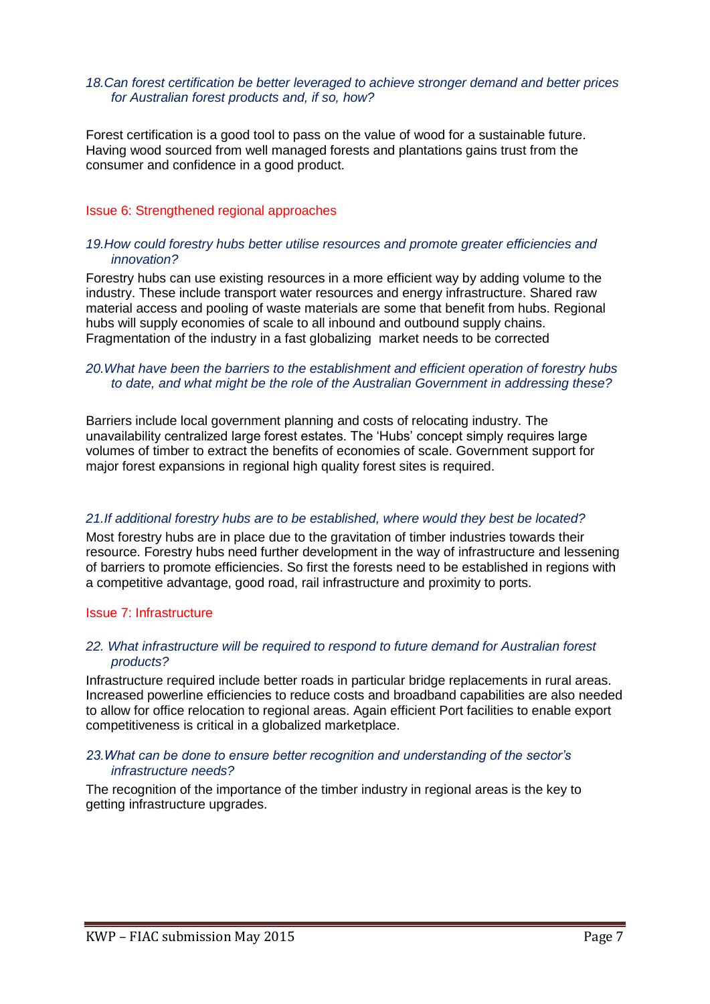### *18.Can forest certification be better leveraged to achieve stronger demand and better prices for Australian forest products and, if so, how?*

Forest certification is a good tool to pass on the value of wood for a sustainable future. Having wood sourced from well managed forests and plantations gains trust from the consumer and confidence in a good product.

### Issue 6: Strengthened regional approaches

### *19.How could forestry hubs better utilise resources and promote greater efficiencies and innovation?*

Forestry hubs can use existing resources in a more efficient way by adding volume to the industry. These include transport water resources and energy infrastructure. Shared raw material access and pooling of waste materials are some that benefit from hubs. Regional hubs will supply economies of scale to all inbound and outbound supply chains. Fragmentation of the industry in a fast globalizing market needs to be corrected

# *20.What have been the barriers to the establishment and efficient operation of forestry hubs to date, and what might be the role of the Australian Government in addressing these?*

Barriers include local government planning and costs of relocating industry. The unavailability centralized large forest estates. The 'Hubs' concept simply requires large volumes of timber to extract the benefits of economies of scale. Government support for major forest expansions in regional high quality forest sites is required.

# *21.If additional forestry hubs are to be established, where would they best be located?*

Most forestry hubs are in place due to the gravitation of timber industries towards their resource. Forestry hubs need further development in the way of infrastructure and lessening of barriers to promote efficiencies. So first the forests need to be established in regions with a competitive advantage, good road, rail infrastructure and proximity to ports.

### Issue 7: Infrastructure

### *22. What infrastructure will be required to respond to future demand for Australian forest products?*

Infrastructure required include better roads in particular bridge replacements in rural areas. Increased powerline efficiencies to reduce costs and broadband capabilities are also needed to allow for office relocation to regional areas. Again efficient Port facilities to enable export competitiveness is critical in a globalized marketplace.

### *23.What can be done to ensure better recognition and understanding of the sector's infrastructure needs?*

The recognition of the importance of the timber industry in regional areas is the key to getting infrastructure upgrades.